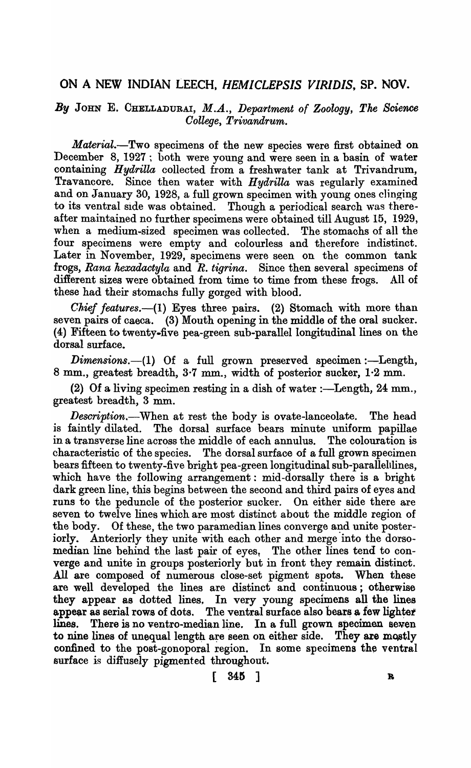## ON A NEW INDIAN LEECH, *HEMICLEPSIS VIRIDIS,* SP. NOV.

## *By* JOHN E. CHELLADURAI, *M.A., Department of Zoology, The Science Oollege, Trivandrum.*

*Material.-Two* specimens of the new species were first obtained on December 8, 1927; both were young and were seen in a basin of water containing *Hydrilla* collected from a freshwater tank at Trivandrum, Travancore. Since then water with *Hydrilla* was regularly examined and on January 30, 1928, a full grown specimen with young ones clinging to its ventral side was obtained. Though a periodical search was there-Though a periodical search was thereafter maintained no further specimens were obtained till August 15, 1929, when a medium-sized specimen was collected. The stomachs of all the four specimens were empty and colourless and therefore indistinct. Later in November, 1929, specimens were seen on the common tank frogs, *Rana hexadactyla* and *R. tigrina.* Since then several specimens of different sizes were obtained from time to time from these frogs. All of these had their stomachs fully gorged with blood.

*Chief features.*--(1) Eyes three pairs. (2) Stomach with more than seven pairs of caeca. (3) Mouth opening in the middle of the oral sucker. (4) Fifteen to twenty-five pea-green sub-parallel longitudinal lines on the dorsal surface.

*Dimensions.*--(1) Of a full grown preserved specimen :--Length, 8 mm., greatest breadth, 3·7 mm., width of posterior sucker, 1·2 mm.

(2) Of a living specimen resting in a dish of water :—Length,  $24 \text{ mm}$ . greatest breadth, 3 mm.

*Description.-When* at rest the body is ovate-lanceolate. The head is faintly dilated. The dorsal surface bears minute uniform papillae in a transverse line across the middle of each annulus. The colouration is characteristic of the species. The dorsal surface of a full grown specimen bears fifteen to twenty-five bright pea-green longitudinal sub-paralleillines, which have the following arrangement: mid-dorsally there is a bright dark green line, this begins between the second and third pairs of eyes and runs to the peduncle of the posterior sucker. On either side there are seven to twelve lines which are most distinct about the middle region of the body. Of these, the two paramedian lines converge and unite posteriorly. Anteriorly they unite with each other and merge into the dorsomedian line behind the last pair of eyes. The other lines tend to converge and unite in groups posteriorly but in front they remain distinct. All are composed of numerous close-set pigment spots. When these are well developed the lines are distinct and continuous; otherwise they appear as dotted lines. In very young specimens all the lines appear as serial rows of dots. The ventral surface also bears a few lighter lines. There is no ventro-median line. In a full grown specimen seven to nine lines of unequal length are seen on either side. They are mostly confined to the post-gonoporal region. In some specimens the ventral surface is diffusely pigmented throughout.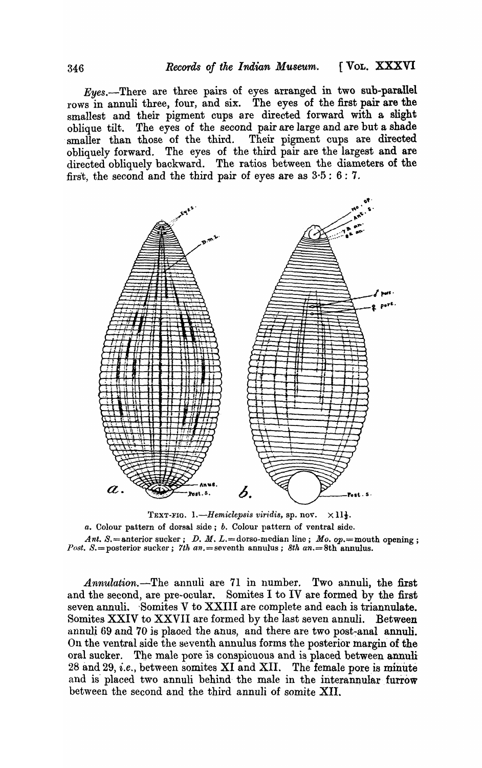Eyes.-There are three pairs of eyes arranged in two sub-parallel rows in annuli three, four, and six. The eyes of the first pair are the smallest and their pigment cups are directed forward with a slight oblique tilt. The eyes of the second pair are large and are but a shade smaller than those of the third. Their pigment cups are directed obliquely forward. The eyes of the third pair are the largest and are directed obliquely backward. The ratios between the diameters of the first, the second and the third pair of eyes are as  $3.5:6:7$ .



TEXT-FIG. 1.-Hemiclepsis viridis, sp. nov.  $\times 11\frac{1}{3}$ . *a.* Colour pattern of dorsal side; *b.* Colour pattern of ventral side.

Ant.  $S$ . = anterior sucker; *D. M. L.* = dorso-median line; *Mo. op.* = mouth opening; *Post.*  $S.$  = posterior sucker; 7th an. = seventh annulus; 8th  $a_n$  = 8th annulus.

*Annulation.-The* annuli are 71 in number. Two annuli, the first and the second, are pre-ocular. Somites I to IV are formed by the first seven annuli. Somites  $V$  to  $XXIII$  are complete and each is triannulate. Somites XXIV to XXVII are formed by the last seven annuli. Between annuli 69 and 70 is placed the anus, and there are two post-anal annuli. On the ventral side the seventh annulus forms the posterior margin of the oral sucker. The male pore is conspicuous and is placed between annuli 28 and 29, *i.e.*, between somites XI and XII. The female pore is minute and is placed two annuli behind the male in the interannular furrow between the second and the third annuli of somite XII.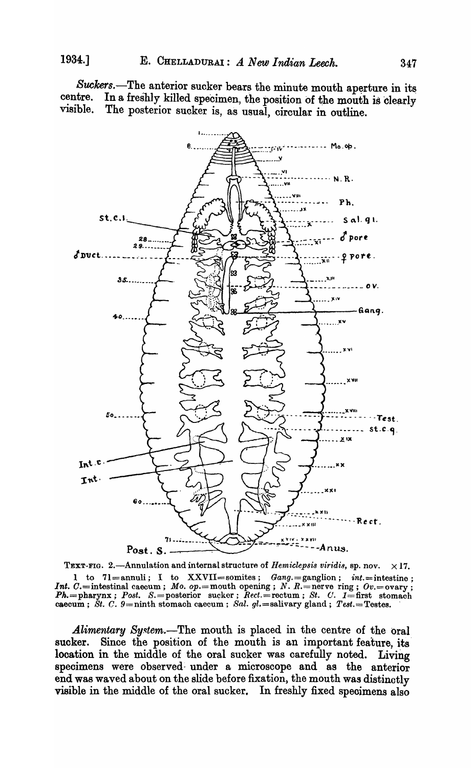$Suckets$ . The anterior sucker bears the minute mouth aperture in its centre. In a freshly killed speciment the position of the mouth is closely centre. In a freshly killed specimen, the position of the mouth is clearly visible. The posterior sucker is as usual circular in outline. The posterior sucker is, as usual, circular in outline.



TEXT-FIG. 2.—Annulation and internal structure of *Hemiclepsis viridis*, sp. nov.  $\times$  17. 1 to 71=annuli; I to XXVII=somites;  $Gang =$ ganglion;  $int =$ intestine; *Int. C.*=intestinal caecum; *Mo. op.*=mouth opening; *N. R.*=nerve ring;  $Ov$ .=ovary;  $Ph =$ pharynx; *Post.*  $S =$ posterior sucker;  $Rect =$ rectum; St.  $C.$   $I =$ first stomach caecum;  $\check{S}t$ .  $C.$   $9$  = ninth stomach caecum;  $Sal.$   $gl.$  = salivary gland;  $Test$  = Testes.

*Alimentary System.*—The mouth is placed in the centre of the oral sucker. Since the position of the mouth is an important feature, its location in the middle of the oral sucker was carefully noted. Living specimens were observed under a microscope and as the anterior end was waved about on the slide before fixation, the mouth was distinctly visible in the middle of the oral sucker. In freshly fixed speoimens also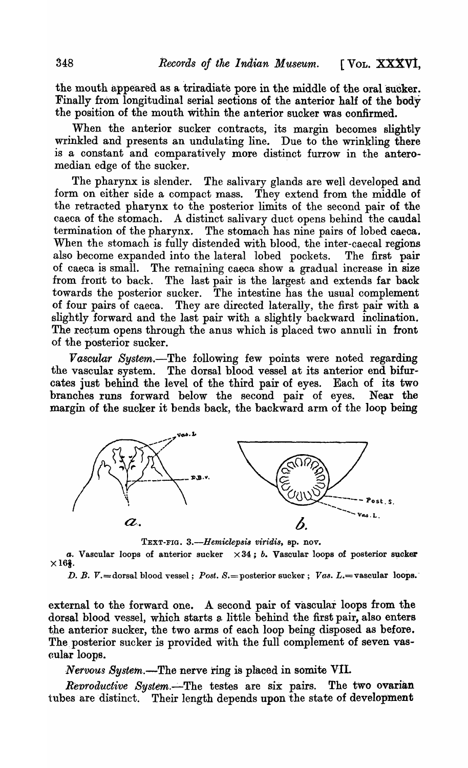the mouth appeared as a triradiate pore in the middle of the oral-sucker. Finally from longitudinal serial sections of the anterior half of the body the position of the mouth Within the anterior sucker was confirmed.

When the anterior sucker contracts, its margin becomes slightly wrinkled and presents an undulating line. Due to the wrinkling there is a constant and comparatively more distinct furrow in the anteromedian edge of the sucker.

The pharynx is slender. The salivary glands are well developed and form on either side a compact mass. They extend from the middle of the retracted pharynx to the posterior limits of the second pair of the caeca of the stomach. A distinct salivary duct opens behind the caudal termination of the pharynx. The stomach has nine pairs of lobed caeca. When the stomach is fully distended with blood, the inter-caecal regions also become expanded into the lateral lobed pockets. The first pair of caeca is small. The remaining caeca show a gradual increase in size from front to back. The last pair is the largest and extends far back towards the posterior sucker. The intestine has the usual complement of four pairs of caeca. They are directed laterally, the first pair with a slightly forward and the last pair with a slightly backward inclination. The rectum opens through the anus which is placed two annuli in front of the posterior sucker. .

*Vascular System.-The* following few points were noted regarding the vascular system. The dorsal blood vessel at its anterior end bifurcates just behind the level of the third pair of eyes. Each of its two branches runs forward below the second pair of eyes. Near the margin of the sucker it bends back, the backward arm of the loop being



TEXT-FIG. *3.-Hemiclepsis viridis,* sp. nov.

*a.* Vascular loops of anterior sucker  $\times 34$ ; *b.* Vascular loops of posterior sucker  $\times$ 16 $\frac{2}{3}$ .

*D. B. V.*=dorsal blood vessel; *Post. S.*=posterior sucker; *Vas. L.*=vascular loops.

external to the forward one. A second pair of vascular loops from the dorsal blood vessel, which starts a little behind the first pair, also enters the anterior sucker, the two arms of each loop being disposed as before. The posterior sucker is provided with the full complement of seven vascular loops.

*Nervous System.*—The nerve ring is placed in somite VII.

*Reproductive System.*-The testes are six pairs. The two ovarian tubes are distinct. Their length depends upon the state of development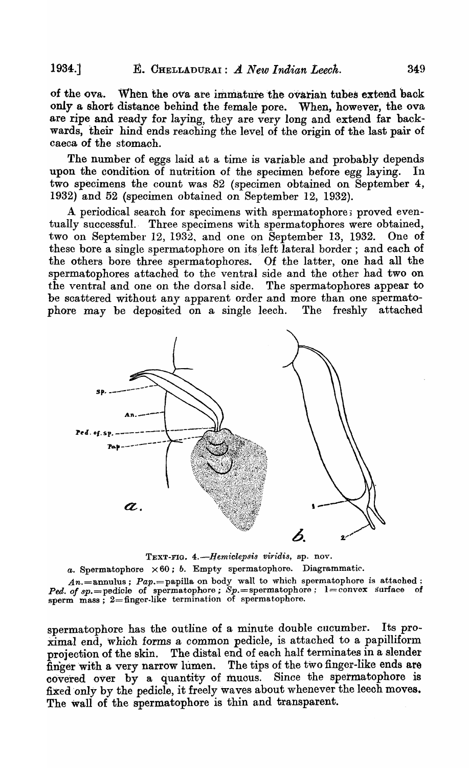of the ova. When the ova are immature the ovarian tubes extend back only a short distance behind the female pore. When, however, the ova are ripe and ready for laying, they are very long and extend far backwards, their hind ends reaching the level of the origin of the last pair of caeca of the stomach.

The number of eggs laid at a time is variable and probably depends upon the condition of nutrition of the specimen before egg laying. In two specimens the count was 82 (specimen obtained on September 4, 1932) and 52 (specimen obtained on September 12, 1932).

A periodical search for specimens with spermatophore; proved eventually successful. Three specimens with spermatophores were obtained, two on September 12, 1932, and one on September 13, 1932. One of these bore a single spermatophore on its left lateral border; and each of the others bore three spermatophores. Of the latter, one had all the the others bore three spermatophores. spermatophores attached to the ventral side and the other had two on the ventral and one on the dorsal side. The spermatophores appear to be scattered without any apparent order and more than one spermatophore may be deposited on a single leech. The freshly attached



TEXT-FIG. *4.-/femiclepsis viridis,* sp. nov.

 $a.$  Spermatophore  $\times 60$ ; *b.* Empty spermatophore. Diagrammatic.

 $An.$ =annulus;  $Pap.$ =papilla on body wall to which spermatophore is attached; *Ped. of sp.*=pedicle of spermatophore;  $Sp.$ =spermatophore; l=convex surface of sperm mass;  $2$ =finger-like termination of spermatophore.

spermatophore has the outline of a minute double cucumber. Its pro-Ximal end, which forms a common pedicle, is attached to a papilliform projection of the skin. The distal end of each half terminates in a slender finger with a very narrow lumen. The tips of the two finger-like ends are covered over by a quantity of muous. Since the spermatophore is fixed only by the pedicle, it freely waves about whenever the leech moves. The wall of the spermatophore is thin and transparent.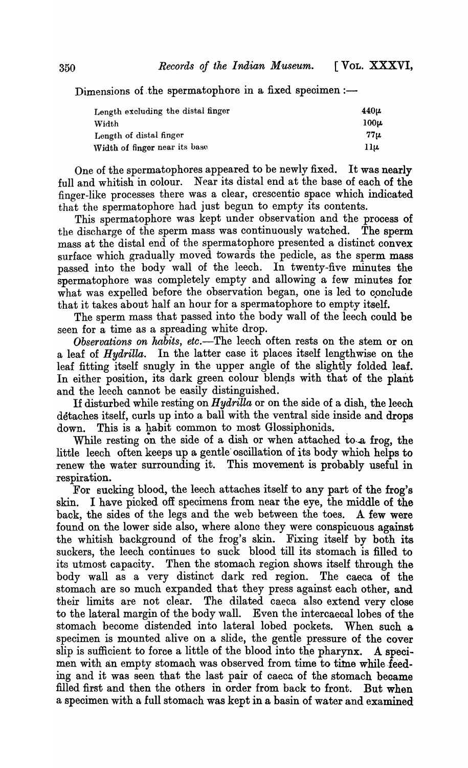Dimensions of the spermatophore in a fixed specimen: $-$ 

| Length excluding the distal finger | $440\mu$ |
|------------------------------------|----------|
| Width                              | $100\mu$ |
| Length of distal finger            | 77 v     |
| Width of finger near its base      | 11u      |

One of the spermatophores appeared to be newly fixed. It was nearly full and whitish in colour. Near its distal end at the base of each of the finger-like processes there was a clear, crescentic space which indicated that the spermatophore had just begun to empty its contents.

This spermatophore was kept under observation and the process of the discharge of the sperm mass was continuously watched. The sperm mass at the distal end of the spermatophore presented a distinct convex surface which gradually moved towards the pedicle, as the sperm mass passed into the body wall of the leech. In twenty-five minutes the spermatophore was completely empty and allowing a few minutes for  $\overline{\text{what was}}$  expelled before the observation began, one is led to conclude that it takes about half an hour for a spermatophore to empty itself.

The sperm mass that passed into the body wall of the leech could be seen for a time as a spreading white drop.

*Observations on habits, etc.*—The leech often rests on the stem or on a leaf of *Hydrilla.* In the latter case it places itself lengthwise on the leaf fitting itself snugly in the upper angle of the slightly folded leaf. In either position, its dark green colour blends with that of the plant and the leech cannot be easily distinguished.

If disturbed while resting on *Hydrilla* or on the side of a dish, the leech detaches itself, curls up into a ball with the ventral side inside and drops down. This is a habit common to most Glossiphonids.

While resting on the side of a dish or when attached to a frog, the little leech often keeps up a gentle oscillation of its body which helps to renew the water surrounding it. This movement is probably useful in This movement is probably useful in. respiration.

For sucking blood, the leech attaches itself to any part of the frog's skin. I have pioked off specimens from near the eye, the middle of the back, the sides of the legs and the web between the toes. A few were found on the lower side also, where alone they were conspicuous against the whitish background of the frog's skin. Fixing itself by both its suckers, the leech continues to suck blood till its stomach is filled to its utmost capacity. Then the stomach region shows itself through the body wall as a very distinct dark red region. The caeca of the stomach are so much expanded that they press against each other, and their limits are not clear. The dilated caeca also extend very close to the lateral margin of the body wall. Even the intercaecal lobes of the stomach become distended into lateral lobed pockets. When such a specimen is mounted alive on a slide, the gentle pressure of the cover slip is sufficient to force a little of the blood into the pharynx. A specimen with an empty stomach was observed from time to time while feeding and it was seen that the last pair of caeca of the stomach beoame filled first and then the others in order from back to front. But when a specimen with a full stomach was kept in a basin of water and examined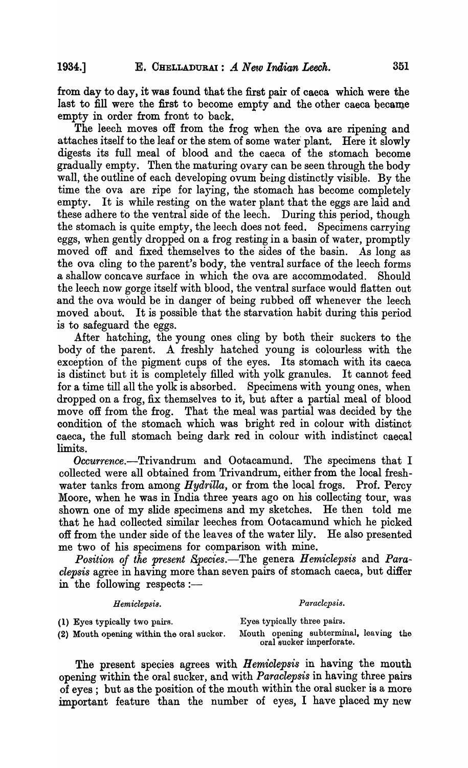from day to day, it was found that the first pair of caeca which were the last to fill were the first to become empty and the other caeca became empty in order from front to back.

The leech moves off from the frog when the ova are ripening and attaches itself to the leaf or the stem of some water plant. Here it slowly digests its full meal of blood and the caeca of the stomach become gradually empty. Then the maturing ovary can be seen through the body wall, the outline of each developing ovum being distinctly visible. By the time the ova are ripe for laying, the stomach has become completely empty. It is while resting on the water plant that the eggs are laid and these adhere to the ventral side of the leech. During this period, though the stomach is quite empty, the leech does not feed. Specimens carrying eggs, when gently dropped on a frog resting in a basin of water, promptly moved off and fixed themselves to the sides of the basin. As long as the ova cling to the parent's body, the ventral surface of the leech forms a shallow concave surface in which the ova are accommodated. Should the leech now gorge itself with blood, the ventral surface would Hatten out and the ova would be in danger of being rubbed off whenever the leech moved about. It is possible that the starvation habit during this period is to safeguard the eggs.

After hatching, the young ones cling by both their suckers to the body of the parent. A freshly hatched young is colourless with the exception of the pigment cups of the eyes. Its stomach with its caeca is distinct but it is completely filled with yolk granules. It cannot feed for a time till all the yolk is absorbed. Specimens with young ones, when dropped on a frog, fix themselves to it, but after a partial meal of blood move off from the frog. That the meal was partial was decided by the condition of the stomach which was bright red in colour with distinct caeca, the full stomach being dark red in colour with indistinct caecal limits.

Occurrence.-Trivandrum and Ootacamund. The specimens that I collected were all obtained from Trivandrum, either from the local freshwater tanks from among *Hydrilla*, or from the local frogs. Prof. Percy Moore, when he was in India three years ago on his collecting tour, was shown one of my slide specimens and my sketches. He then told me that he had collected similar leeches from Ootacamund which he picked off from the under side of the leaves of the water lily. He also presented me two of his specimens for comparison with mine.

Position of the present Species.-The genera *Hemiclepsis* and *Paraclepsis* agree in having more than seven pairs of stomach caeca, but difier in the following respects: $-$ 

|  |  | Hemiclepsis. |
|--|--|--------------|
|  |  |              |

## *Paraclcpsis.*

(1) Eyes typically two pairs. (2) Mouth opening within the oral sucker.

Eyes typically three pairs. Mouth opening subterminal, leaving the oral sucker imperforate.

The present species agrees with *Hemiolepsis* in having the mouth opening within the oral sucker, and with *Paraolepsis* in having three pairs of eyes; but as the position of the mouth within the oral sucker is a more important feature than the number of eyes, I have placed my new